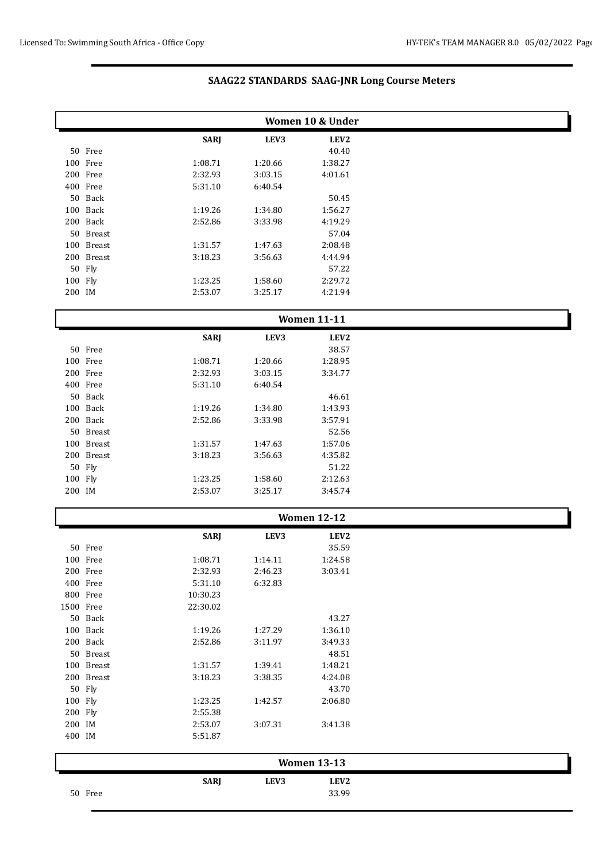|                   | Women 10 & Under |             |         |                    |  |  |
|-------------------|------------------|-------------|---------|--------------------|--|--|
|                   |                  | <b>SARJ</b> | LEV3    | LEV <sub>2</sub>   |  |  |
|                   | 50 Free          |             |         | 40.40              |  |  |
|                   | 100 Free         | 1:08.71     | 1:20.66 | 1:38.27            |  |  |
|                   | 200 Free         | 2:32.93     | 3:03.15 | 4:01.61            |  |  |
|                   | 400 Free         | 5:31.10     | 6:40.54 |                    |  |  |
|                   | 50 Back          |             |         | 50.45              |  |  |
|                   | 100 Back         | 1:19.26     | 1:34.80 | 1:56.27            |  |  |
|                   | 200 Back         | 2:52.86     | 3:33.98 | 4:19.29            |  |  |
|                   | 50 Breast        |             |         | 57.04              |  |  |
|                   | 100 Breast       | 1:31.57     | 1:47.63 | 2:08.48            |  |  |
|                   | 200 Breast       | 3:18.23     | 3:56.63 | 4:44.94            |  |  |
|                   | 50 Fly           |             |         | 57.22              |  |  |
| 100 Fly           |                  | 1:23.25     | 1:58.60 | 2:29.72            |  |  |
| 200 IM            |                  | 2:53.07     | 3:25.17 | 4:21.94            |  |  |
|                   |                  |             |         | <b>Women 11-11</b> |  |  |
|                   |                  | <b>SARJ</b> | LEV3    | LEV <sub>2</sub>   |  |  |
|                   | 50 Free          |             |         | 38.57              |  |  |
|                   | 100 Free         | 1:08.71     | 1:20.66 | 1:28.95            |  |  |
|                   | 200 Free         | 2:32.93     | 3:03.15 | 3:34.77            |  |  |
|                   | 400 Free         | 5:31.10     | 6:40.54 |                    |  |  |
|                   | 50 Back          |             |         | 46.61              |  |  |
|                   | 100 Back         | 1:19.26     | 1:34.80 | 1:43.93            |  |  |
|                   | 200 Back         | 2:52.86     | 3:33.98 | 3:57.91            |  |  |
|                   | 50 Breast        |             |         | 52.56              |  |  |
|                   | 100 Breast       | 1:31.57     | 1:47.63 | 1:57.06            |  |  |
|                   | 200 Breast       | 3:18.23     | 3:56.63 | 4:35.82            |  |  |
|                   | 50 Fly           |             |         | 51.22              |  |  |
| 100 Fly<br>200 IM |                  | 1:23.25     | 1:58.60 | 2:12.63            |  |  |
|                   |                  | 2:53.07     | 3:25.17 | 3:45.74            |  |  |
|                   |                  |             |         | <b>Women 12-12</b> |  |  |
|                   |                  | <b>SARJ</b> | LEV3    | LEV2               |  |  |
|                   | 50 Free          |             |         | 35.59              |  |  |
|                   | 100 Free         | 1:08.71     | 1:14.11 | 1:24.58            |  |  |
|                   | 200 Free         | 2:32.93     | 2:46.23 | 3:03.41            |  |  |
|                   | 400 Free         | 5:31.10     | 6:32.83 |                    |  |  |
|                   | 800 Free         | 10:30.23    |         |                    |  |  |
| 1500 Free         |                  | 22:30.02    |         |                    |  |  |
|                   | 50 Back          |             |         | 43.27              |  |  |
|                   | 100 Back         | 1:19.26     | 1:27.29 | 1:36.10            |  |  |
|                   | 200 Back         | 2:52.86     | 3:11.97 | 3:49.33            |  |  |
|                   | 50 Breast        |             |         | 48.51              |  |  |
|                   | 100 Breast       | 1:31.57     | 1:39.41 | 1:48.21            |  |  |
|                   | 200 Breast       | 3:18.23     | 3:38.35 | 4:24.08            |  |  |
|                   | 50 Fly           |             |         | 43.70              |  |  |
| 100 Fly           |                  | 1:23.25     | 1:42.57 | 2:06.80            |  |  |
| 200 Fly           |                  | 2:55.38     |         |                    |  |  |
| 200 IM            |                  | 2:53.07     | 3:07.31 | 3:41.38            |  |  |
| 400 IM            |                  | 5:51.87     |         |                    |  |  |
|                   |                  |             |         | <b>Women 13-13</b> |  |  |
|                   |                  | <b>SARJ</b> | LEV3    | LEV <sub>2</sub>   |  |  |
|                   | 50 Free          |             |         | 33.99              |  |  |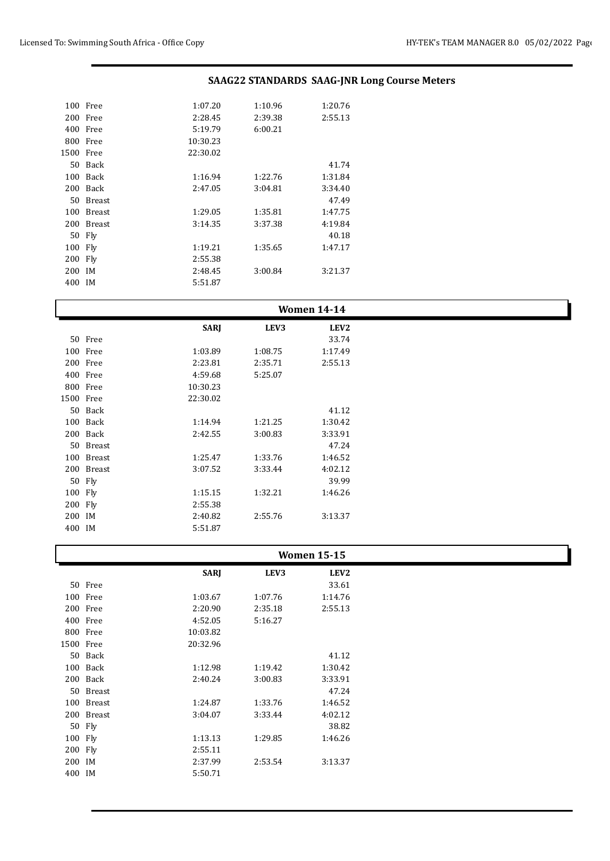| 100  | Free          | 1:07.20  | 1:10.96 | 1:20.76 |
|------|---------------|----------|---------|---------|
| 200  | Free          | 2:28.45  | 2:39.38 | 2:55.13 |
| 400  | Free          | 5:19.79  | 6:00.21 |         |
| 800  | Free          | 10:30.23 |         |         |
| 1500 | Free          | 22:30.02 |         |         |
|      | 50 Back       |          |         | 41.74   |
| 100  | Back          | 1:16.94  | 1:22.76 | 1:31.84 |
| 200  | Back          | 2:47.05  | 3:04.81 | 3:34.40 |
| 50   | <b>Breast</b> |          |         | 47.49   |
| 100  | <b>Breast</b> | 1:29.05  | 1:35.81 | 1:47.75 |
| 200  | <b>Breast</b> | 3:14.35  | 3:37.38 | 4:19.84 |
|      | 50 Fly        |          |         | 40.18   |
| 100  | Fly           | 1:19.21  | 1:35.65 | 1:47.17 |
| 200  | Fly           | 2:55.38  |         |         |
| 200  | IM            | 2:48.45  | 3:00.84 | 3:21.37 |
| 400  | IM            | 5:51.87  |         |         |
|      |               |          |         |         |

| <b>Women 14-14</b> |            |             |         |                  |  |
|--------------------|------------|-------------|---------|------------------|--|
|                    |            | <b>SARJ</b> | LEV3    | LEV <sub>2</sub> |  |
|                    | 50 Free    |             |         | 33.74            |  |
|                    | 100 Free   | 1:03.89     | 1:08.75 | 1:17.49          |  |
|                    | 200 Free   | 2:23.81     | 2:35.71 | 2:55.13          |  |
|                    | 400 Free   | 4:59.68     | 5:25.07 |                  |  |
|                    | 800 Free   | 10:30.23    |         |                  |  |
| 1500 Free          |            | 22:30.02    |         |                  |  |
|                    | 50 Back    |             |         | 41.12            |  |
|                    | 100 Back   | 1:14.94     | 1:21.25 | 1:30.42          |  |
|                    | 200 Back   | 2:42.55     | 3:00.83 | 3:33.91          |  |
|                    | 50 Breast  |             |         | 47.24            |  |
|                    | 100 Breast | 1:25.47     | 1:33.76 | 1:46.52          |  |
|                    | 200 Breast | 3:07.52     | 3:33.44 | 4:02.12          |  |
|                    | 50 Fly     |             |         | 39.99            |  |
| 100 Fly            |            | 1:15.15     | 1:32.21 | 1:46.26          |  |
| 200 Fly            |            | 2:55.38     |         |                  |  |
| 200 IM             |            | 2:40.82     | 2:55.76 | 3:13.37          |  |
| 400 IM             |            | 5:51.87     |         |                  |  |

|        |            |             |         | <b>Women 15-15</b> |  |
|--------|------------|-------------|---------|--------------------|--|
|        |            | <b>SARJ</b> | LEV3    | LEV <sub>2</sub>   |  |
|        | 50 Free    |             |         | 33.61              |  |
|        | 100 Free   | 1:03.67     | 1:07.76 | 1:14.76            |  |
|        | 200 Free   | 2:20.90     | 2:35.18 | 2:55.13            |  |
|        | 400 Free   | 4:52.05     | 5:16.27 |                    |  |
|        | 800 Free   | 10:03.82    |         |                    |  |
|        | 1500 Free  | 20:32.96    |         |                    |  |
|        | 50 Back    |             |         | 41.12              |  |
|        | 100 Back   | 1:12.98     | 1:19.42 | 1:30.42            |  |
|        | 200 Back   | 2:40.24     | 3:00.83 | 3:33.91            |  |
|        | 50 Breast  |             |         | 47.24              |  |
|        | 100 Breast | 1:24.87     | 1:33.76 | 1:46.52            |  |
|        | 200 Breast | 3:04.07     | 3:33.44 | 4:02.12            |  |
|        | 50 Fly     |             |         | 38.82              |  |
|        | 100 Fly    | 1:13.13     | 1:29.85 | 1:46.26            |  |
|        | 200 Fly    | 2:55.11     |         |                    |  |
| 200 IM |            | 2:37.99     | 2:53.54 | 3:13.37            |  |
| 400 IM |            | 5:50.71     |         |                    |  |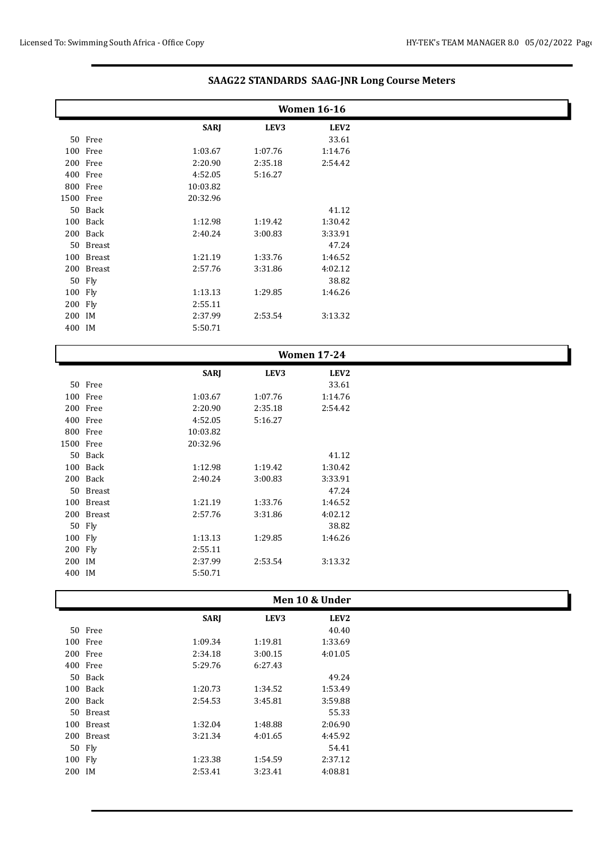|           | <b>Women 16-16</b> |             |         |                  |  |
|-----------|--------------------|-------------|---------|------------------|--|
|           |                    | <b>SARJ</b> | LEV3    | LEV <sub>2</sub> |  |
|           | 50 Free            |             |         | 33.61            |  |
|           | 100 Free           | 1:03.67     | 1:07.76 | 1:14.76          |  |
|           | 200 Free           | 2:20.90     | 2:35.18 | 2:54.42          |  |
|           | 400 Free           | 4:52.05     | 5:16.27 |                  |  |
|           | 800 Free           | 10:03.82    |         |                  |  |
| 1500 Free |                    | 20:32.96    |         |                  |  |
|           | 50 Back            |             |         | 41.12            |  |
|           | 100 Back           | 1:12.98     | 1:19.42 | 1:30.42          |  |
|           | 200 Back           | 2:40.24     | 3:00.83 | 3:33.91          |  |
|           | 50 Breast          |             |         | 47.24            |  |
|           | 100 Breast         | 1:21.19     | 1:33.76 | 1:46.52          |  |
|           | 200 Breast         | 2:57.76     | 3:31.86 | 4:02.12          |  |
|           | 50 Fly             |             |         | 38.82            |  |
| 100 Fly   |                    | 1:13.13     | 1:29.85 | 1:46.26          |  |
| 200 Fly   |                    | 2:55.11     |         |                  |  |
| 200 IM    |                    | 2:37.99     | 2:53.54 | 3:13.32          |  |
| 400 IM    |                    | 5:50.71     |         |                  |  |

|           |            | <b>SARJ</b> | LEV3    | LEV <sub>2</sub> |  |
|-----------|------------|-------------|---------|------------------|--|
|           | 50 Free    |             |         | 33.61            |  |
|           | 100 Free   | 1:03.67     | 1:07.76 | 1:14.76          |  |
|           | 200 Free   | 2:20.90     | 2:35.18 | 2:54.42          |  |
| 400 Free  |            | 4:52.05     | 5:16.27 |                  |  |
| 800 Free  |            | 10:03.82    |         |                  |  |
| 1500 Free |            | 20:32.96    |         |                  |  |
|           | 50 Back    |             |         | 41.12            |  |
|           | 100 Back   | 1:12.98     | 1:19.42 | 1:30.42          |  |
|           | 200 Back   | 2:40.24     | 3:00.83 | 3:33.91          |  |
|           | 50 Breast  |             |         | 47.24            |  |
|           | 100 Breast | 1:21.19     | 1:33.76 | 1:46.52          |  |
|           | 200 Breast | 2:57.76     | 3:31.86 | 4:02.12          |  |
| 50 Fly    |            |             |         | 38.82            |  |
| 100 Fly   |            | 1:13.13     | 1:29.85 | 1:46.26          |  |
| 200 Fly   |            | 2:55.11     |         |                  |  |
| 200 IM    |            | 2:37.99     | 2:53.54 | 3:13.32          |  |
| 400 IM    |            | 5:50.71     |         |                  |  |
|           |            |             |         |                  |  |

|          |            |             | Men 10 & Under |                  |
|----------|------------|-------------|----------------|------------------|
|          |            | <b>SARJ</b> | LEV3           | LEV <sub>2</sub> |
|          | 50 Free    |             |                | 40.40            |
| 100 Free |            | 1:09.34     | 1:19.81        | 1:33.69          |
| 200 Free |            | 2:34.18     | 3:00.15        | 4:01.05          |
| 400 Free |            | 5:29.76     | 6:27.43        |                  |
|          | 50 Back    |             |                | 49.24            |
|          | 100 Back   | 1:20.73     | 1:34.52        | 1:53.49          |
|          | 200 Back   | 2:54.53     | 3:45.81        | 3:59.88          |
|          | 50 Breast  |             |                | 55.33            |
|          | 100 Breast | 1:32.04     | 1:48.88        | 2:06.90          |
|          | 200 Breast | 3:21.34     | 4:01.65        | 4:45.92          |
| 50 Fly   |            |             |                | 54.41            |
| 100 Fly  |            | 1:23.38     | 1:54.59        | 2:37.12          |
| 200 IM   |            | 2:53.41     | 3:23.41        | 4:08.81          |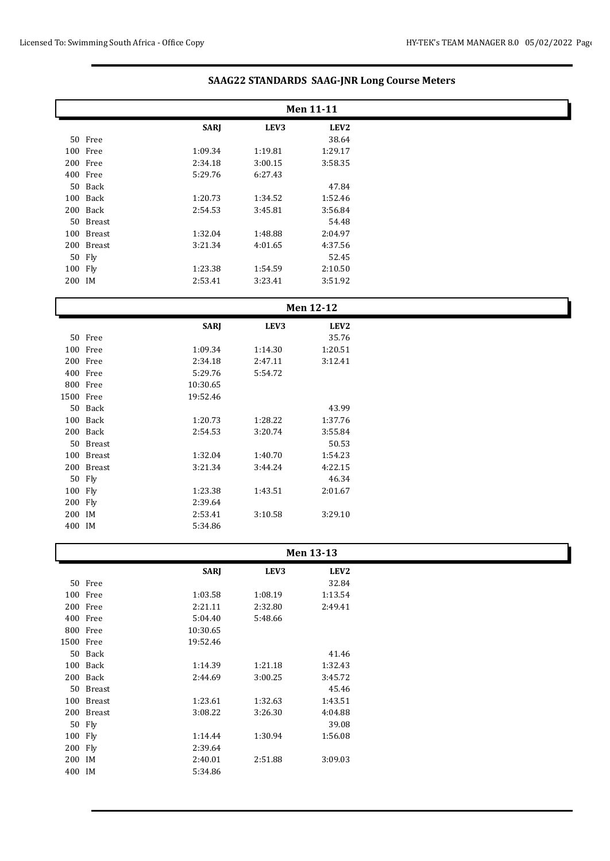|           | Men 11-11  |             |         |                  |  |  |
|-----------|------------|-------------|---------|------------------|--|--|
|           |            | <b>SARJ</b> | LEV3    | LEV <sub>2</sub> |  |  |
|           | 50 Free    |             |         | 38.64            |  |  |
|           | 100 Free   | 1:09.34     | 1:19.81 | 1:29.17          |  |  |
|           | 200 Free   | 2:34.18     | 3:00.15 | 3:58.35          |  |  |
|           | 400 Free   | 5:29.76     | 6:27.43 |                  |  |  |
|           | 50 Back    |             |         | 47.84            |  |  |
|           | 100 Back   | 1:20.73     | 1:34.52 | 1:52.46          |  |  |
|           | 200 Back   | 2:54.53     | 3:45.81 | 3:56.84          |  |  |
|           | 50 Breast  |             |         | 54.48            |  |  |
|           | 100 Breast | 1:32.04     | 1:48.88 | 2:04.97          |  |  |
|           | 200 Breast | 3:21.34     | 4:01.65 | 4:37.56          |  |  |
|           | 50 Fly     |             |         | 52.45            |  |  |
| 100 Fly   |            | 1:23.38     | 1:54.59 | 2:10.50          |  |  |
| 200 IM    |            | 2:53.41     | 3:23.41 | 3:51.92          |  |  |
|           |            |             |         |                  |  |  |
| Men 12-12 |            |             |         |                  |  |  |
|           |            |             |         |                  |  |  |
|           |            | <b>SARJ</b> | LEV3    | LEV2             |  |  |
|           | 50 Free    |             |         | 35.76            |  |  |
|           | 100 Free   | 1:09.34     | 1:14.30 | 1:20.51          |  |  |
|           | 200 Free   | 2:34.18     | 2:47.11 | 3:12.41          |  |  |
|           | 400 Free   | 5:29.76     | 5:54.72 |                  |  |  |
|           | 800 Free   | 10:30.65    |         |                  |  |  |
| 1500 Free |            | 19:52.46    |         |                  |  |  |
|           | 50 Back    |             |         | 43.99            |  |  |
|           | 100 Back   | 1:20.73     | 1:28.22 | 1:37.76          |  |  |
|           | 200 Back   | 2:54.53     | 3:20.74 | 3:55.84          |  |  |
|           | 50 Breast  |             |         | 50.53            |  |  |
|           | 100 Breast | 1:32.04     | 1:40.70 | 1:54.23          |  |  |
|           | 200 Breast | 3:21.34     | 3:44.24 | 4:22.15          |  |  |
|           | 50 Fly     |             |         | 46.34            |  |  |
| 100 Fly   |            | 1:23.38     | 1:43.51 | 2:01.67          |  |  |

### **Men 13-13**

|      |               | <b>SARI</b> | LEV3    | LEV <sub>2</sub> |
|------|---------------|-------------|---------|------------------|
|      | 50 Free       |             |         | 32.84            |
| 100  | Free          | 1:03.58     | 1:08.19 | 1:13.54          |
| 200  | Free          | 2:21.11     | 2:32.80 | 2:49.41          |
| 400  | Free          | 5:04.40     | 5:48.66 |                  |
| 800  | Free          | 10:30.65    |         |                  |
| 1500 | Free          | 19:52.46    |         |                  |
| 50   | <b>Back</b>   |             |         | 41.46            |
| 100  | <b>Back</b>   | 1:14.39     | 1:21.18 | 1:32.43          |
| 200  | <b>Back</b>   | 2:44.69     | 3:00.25 | 3:45.72          |
| 50   | <b>Breast</b> |             |         | 45.46            |
| 100  | <b>Breast</b> | 1:23.61     | 1:32.63 | 1:43.51          |
| 200  | <b>Breast</b> | 3:08.22     | 3:26.30 | 4:04.88          |
| 50   | Fly           |             |         | 39.08            |
| 100  | Fly           | 1:14.44     | 1:30.94 | 1:56.08          |
| 200  | Fly           | 2:39.64     |         |                  |
| 200  | <b>IM</b>     | 2:40.01     | 2:51.88 | 3:09.03          |
| 400  | IM            | 5:34.86     |         |                  |

IM 2:53.41 3:10.58 3:29.10

IM 5:34.86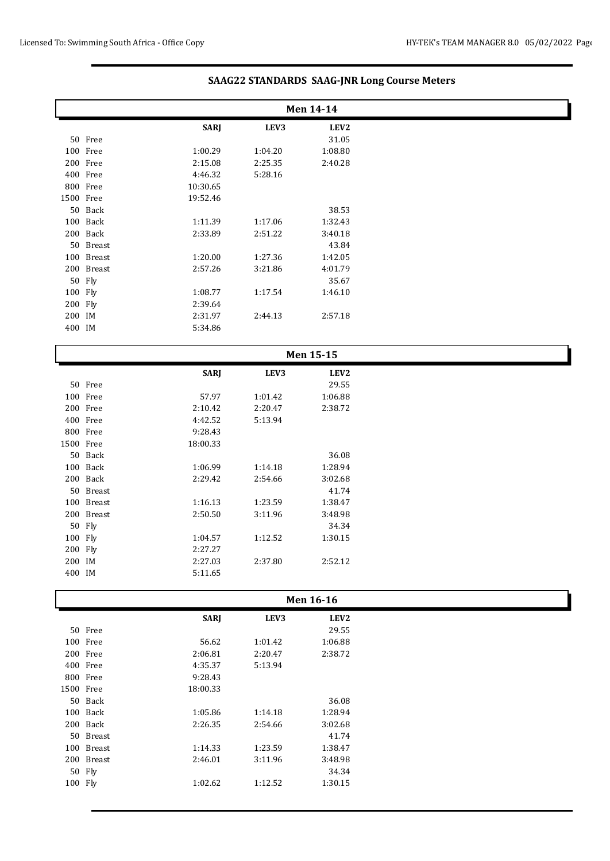|           | Men 14-14  |             |         |                  |  |
|-----------|------------|-------------|---------|------------------|--|
|           |            | <b>SARJ</b> | LEV3    | LEV <sub>2</sub> |  |
|           | 50 Free    |             |         | 31.05            |  |
|           | 100 Free   | 1:00.29     | 1:04.20 | 1:08.80          |  |
|           | 200 Free   | 2:15.08     | 2:25.35 | 2:40.28          |  |
|           | 400 Free   | 4:46.32     | 5:28.16 |                  |  |
|           | 800 Free   | 10:30.65    |         |                  |  |
| 1500 Free |            | 19:52.46    |         |                  |  |
|           | 50 Back    |             |         | 38.53            |  |
|           | 100 Back   | 1:11.39     | 1:17.06 | 1:32.43          |  |
|           | 200 Back   | 2:33.89     | 2:51.22 | 3:40.18          |  |
|           | 50 Breast  |             |         | 43.84            |  |
|           | 100 Breast | 1:20.00     | 1:27.36 | 1:42.05          |  |
|           | 200 Breast | 2:57.26     | 3:21.86 | 4:01.79          |  |
|           | 50 Fly     |             |         | 35.67            |  |
| 100 Fly   |            | 1:08.77     | 1:17.54 | 1:46.10          |  |
| 200 Fly   |            | 2:39.64     |         |                  |  |
| 200 IM    |            | 2:31.97     | 2:44.13 | 2:57.18          |  |
| 400 IM    |            | 5:34.86     |         |                  |  |

| Men 15-15 |            |             |         |                  |
|-----------|------------|-------------|---------|------------------|
|           |            | <b>SARJ</b> | LEV3    | LEV <sub>2</sub> |
|           | 50 Free    |             |         | 29.55            |
|           | 100 Free   | 57.97       | 1:01.42 | 1:06.88          |
|           | 200 Free   | 2:10.42     | 2:20.47 | 2:38.72          |
|           | 400 Free   | 4:42.52     | 5:13.94 |                  |
|           | 800 Free   | 9:28.43     |         |                  |
| 1500 Free |            | 18:00.33    |         |                  |
|           | 50 Back    |             |         | 36.08            |
|           | 100 Back   | 1:06.99     | 1:14.18 | 1:28.94          |
|           | 200 Back   | 2:29.42     | 2:54.66 | 3:02.68          |
|           | 50 Breast  |             |         | 41.74            |
|           | 100 Breast | 1:16.13     | 1:23.59 | 1:38.47          |
|           | 200 Breast | 2:50.50     | 3:11.96 | 3:48.98          |
|           | 50 Fly     |             |         | 34.34            |
| 100 Fly   |            | 1:04.57     | 1:12.52 | 1:30.15          |
| 200 Fly   |            | 2:27.27     |         |                  |
| 200 IM    |            | 2:27.03     | 2:37.80 | 2:52.12          |
| 400 IM    |            | 5:11.65     |         |                  |
|           |            |             |         |                  |

|           |            |             | Men 16-16 |                  |  |
|-----------|------------|-------------|-----------|------------------|--|
|           |            | <b>SARJ</b> | LEV3      | LEV <sub>2</sub> |  |
|           | 50 Free    |             |           | 29.55            |  |
|           | 100 Free   | 56.62       | 1:01.42   | 1:06.88          |  |
|           | 200 Free   | 2:06.81     | 2:20.47   | 2:38.72          |  |
|           | 400 Free   | 4:35.37     | 5:13.94   |                  |  |
|           | 800 Free   | 9:28.43     |           |                  |  |
| 1500 Free |            | 18:00.33    |           |                  |  |
|           | 50 Back    |             |           | 36.08            |  |
|           | 100 Back   | 1:05.86     | 1:14.18   | 1:28.94          |  |
|           | 200 Back   | 2:26.35     | 2:54.66   | 3:02.68          |  |
|           | 50 Breast  |             |           | 41.74            |  |
|           | 100 Breast | 1:14.33     | 1:23.59   | 1:38.47          |  |
|           | 200 Breast | 2:46.01     | 3:11.96   | 3:48.98          |  |
|           | 50 Fly     |             |           | 34.34            |  |
| 100 Fly   |            | 1:02.62     | 1:12.52   | 1:30.15          |  |